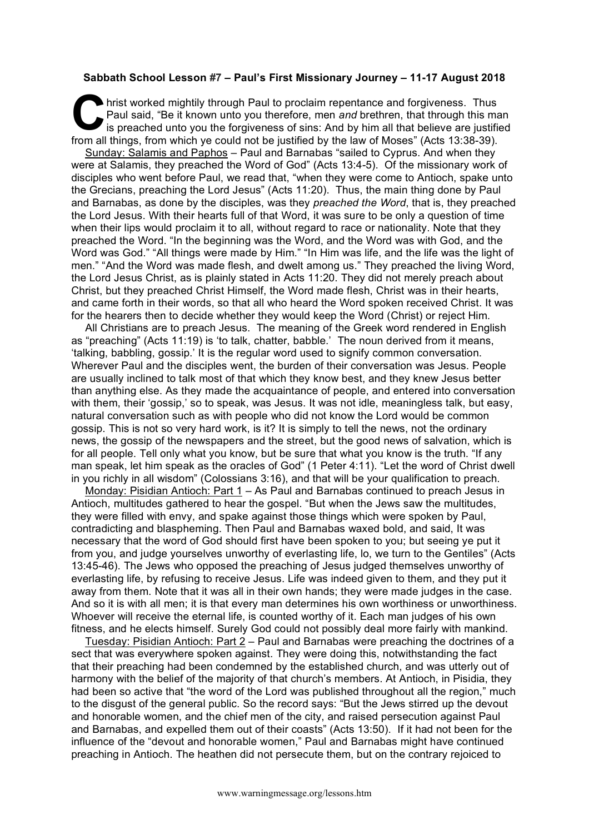## **Sabbath School Lesson #7 – Paul's First Missionary Journey – 11-17 August 2018**

hrist worked mightily through Paul to proclaim repentance and forgiveness. Thus<br>
Paul said, "Be it known unto you therefore, men *and* brethren, that through this mas<br>
is preached unto you the forgiveness of sins: And by h Paul said, "Be it known unto you therefore, men *and* brethren, that through this man is preached unto you the forgiveness of sins: And by him all that believe are justified from all things, from which ye could not be justified by the law of Moses" (Acts 13:38-39).

Sunday: Salamis and Paphos – Paul and Barnabas "sailed to Cyprus. And when they were at Salamis, they preached the Word of God" (Acts 13:4-5). Of the missionary work of disciples who went before Paul, we read that, "when they were come to Antioch, spake unto the Grecians, preaching the Lord Jesus" (Acts 11:20). Thus, the main thing done by Paul and Barnabas, as done by the disciples, was they *preached the Word*, that is, they preached the Lord Jesus. With their hearts full of that Word, it was sure to be only a question of time when their lips would proclaim it to all, without regard to race or nationality. Note that they preached the Word. "In the beginning was the Word, and the Word was with God, and the Word was God." "All things were made by Him." "In Him was life, and the life was the light of men." "And the Word was made flesh, and dwelt among us." They preached the living Word, the Lord Jesus Christ, as is plainly stated in Acts 11:20. They did not merely preach about Christ, but they preached Christ Himself, the Word made flesh, Christ was in their hearts, and came forth in their words, so that all who heard the Word spoken received Christ. It was for the hearers then to decide whether they would keep the Word (Christ) or reject Him.

All Christians are to preach Jesus. The meaning of the Greek word rendered in English as "preaching" (Acts 11:19) is 'to talk, chatter, babble.' The noun derived from it means, 'talking, babbling, gossip.' It is the regular word used to signify common conversation. Wherever Paul and the disciples went, the burden of their conversation was Jesus. People are usually inclined to talk most of that which they know best, and they knew Jesus better than anything else. As they made the acquaintance of people, and entered into conversation with them, their 'gossip,' so to speak, was Jesus. It was not idle, meaningless talk, but easy, natural conversation such as with people who did not know the Lord would be common gossip. This is not so very hard work, is it? It is simply to tell the news, not the ordinary news, the gossip of the newspapers and the street, but the good news of salvation, which is for all people. Tell only what you know, but be sure that what you know is the truth. "If any man speak, let him speak as the oracles of God" (1 Peter 4:11). "Let the word of Christ dwell in you richly in all wisdom" (Colossians 3:16), and that will be your qualification to preach.

Monday: Pisidian Antioch: Part 1 - As Paul and Barnabas continued to preach Jesus in Antioch, multitudes gathered to hear the gospel. "But when the Jews saw the multitudes, they were filled with envy, and spake against those things which were spoken by Paul, contradicting and blaspheming. Then Paul and Barnabas waxed bold, and said, It was necessary that the word of God should first have been spoken to you; but seeing ye put it from you, and judge yourselves unworthy of everlasting life, lo, we turn to the Gentiles" (Acts 13:45-46). The Jews who opposed the preaching of Jesus judged themselves unworthy of everlasting life, by refusing to receive Jesus. Life was indeed given to them, and they put it away from them. Note that it was all in their own hands; they were made judges in the case. And so it is with all men; it is that every man determines his own worthiness or unworthiness. Whoever will receive the eternal life, is counted worthy of it. Each man judges of his own fitness, and he elects himself. Surely God could not possibly deal more fairly with mankind.

Tuesday: Pisidian Antioch: Part 2 – Paul and Barnabas were preaching the doctrines of a sect that was everywhere spoken against. They were doing this, notwithstanding the fact that their preaching had been condemned by the established church, and was utterly out of harmony with the belief of the majority of that church's members. At Antioch, in Pisidia, they had been so active that "the word of the Lord was published throughout all the region," much to the disgust of the general public. So the record says: "But the Jews stirred up the devout and honorable women, and the chief men of the city, and raised persecution against Paul and Barnabas, and expelled them out of their coasts" (Acts 13:50). If it had not been for the influence of the "devout and honorable women," Paul and Barnabas might have continued preaching in Antioch. The heathen did not persecute them, but on the contrary rejoiced to